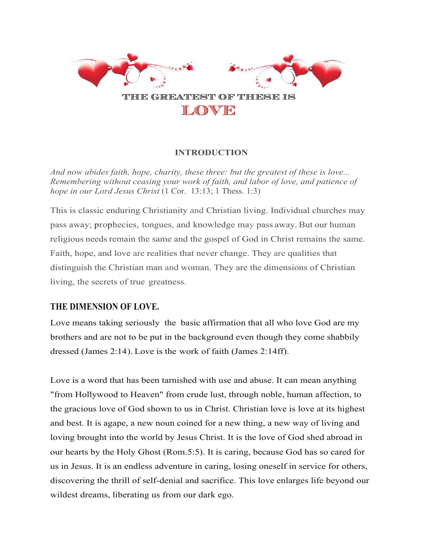

## **INTRODUCTION**

*And now abides faith, hope, charity, these three: but the greatest of these is love... Remembering without ceasing your work of faith, and labor of love, and patience of hope in our Lord Jesus Christ* (1 Cor. 13:13; 1 Thess. 1:3)

This is classic enduring Christianity and Christian living. Individual churches may pass away; prophecies, tongues, and knowledge may pass away. But our human religious needs remain the same and the gospel of God in Christ remains the same. Faith, hope, and love are realities that never change. They are qualities that distinguish the Christian man and woman. They are the dimensions of Christian living, the secrets of true greatness.

## **THE DIMENSION OF LOVE.**

Love means taking seriously the basic affirmation that all who love God are my brothers and are not to be put in the background even though they come shabbily dressed (James 2:14). Love is the work of faith (James 2:14ff).

Love is a word that has been tarnished with use and abuse. It can mean anything "from Hollywood to Heaven" from crude lust, through noble, human affection, to the gracious love of God shown to us in Christ. Christian love is love at its highest and best. It is agape, a new noun coined for a new thing, a new way of living and loving brought into the world by Jesus Christ. It is the love of God shed abroad in our hearts by the Holy Ghost (Rom.5:5). It is caring, because God has so cared for us in Jesus. It is an endless adventure in caring, losing oneself in service for others, discovering the thrill of self-denial and sacrifice. This love enlarges life beyond our wildest dreams, liberating us from our dark ego.